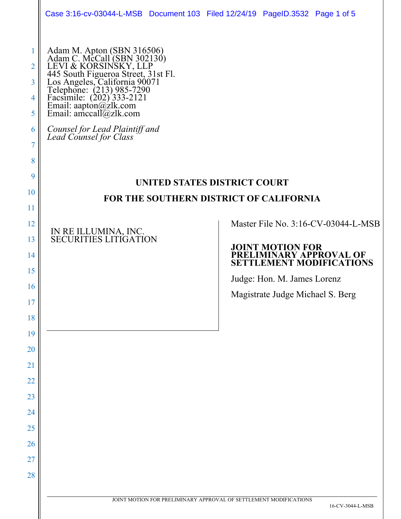|                                      | Case 3:16-cv-03044-L-MSB Document 103 Filed 12/24/19 PageID.3532 Page 1 of 5                                                                                                                                                                                                                                                                       |                         |                                  |                                                            |
|--------------------------------------|----------------------------------------------------------------------------------------------------------------------------------------------------------------------------------------------------------------------------------------------------------------------------------------------------------------------------------------------------|-------------------------|----------------------------------|------------------------------------------------------------|
| 2<br>3<br>4<br>5<br>6<br>7<br>8<br>9 | Adam M. Apton (SBN 316506)<br>Adam C. McCall (SBN 302130)<br>LEVI & KORSINSKY, LLP<br>445 South Figueroa Street, 31st Fl.<br>Los Angeles, California 90071<br>Telephone: (213) 985-7290<br>Facsimile: (202) 333-2121<br>Email: aapton@zlk.com<br>Email<br>Counsel for Lead Plaintiff and<br>Lead Counsel for Class<br>UNITED STATES DISTRICT COURT |                         |                                  |                                                            |
| 10                                   | FOR THE SOUTHERN DISTRICT OF CALIFORNIA                                                                                                                                                                                                                                                                                                            |                         |                                  |                                                            |
| 11                                   |                                                                                                                                                                                                                                                                                                                                                    |                         |                                  |                                                            |
| 12                                   |                                                                                                                                                                                                                                                                                                                                                    |                         |                                  | Master File No. 3:16-CV-03044-L-MSB                        |
| 13                                   | IN RE ILLUMINA, INC.<br>SECURITIES LITIGATION                                                                                                                                                                                                                                                                                                      | <b>JOINT MOTION FOR</b> |                                  |                                                            |
| 14                                   |                                                                                                                                                                                                                                                                                                                                                    |                         |                                  | PRELIMINARY APPROVAL OF<br><b>SETTLEMENT MODIFICATIONS</b> |
| 15                                   |                                                                                                                                                                                                                                                                                                                                                    |                         | Judge: Hon. M. James Lorenz      |                                                            |
| 16                                   |                                                                                                                                                                                                                                                                                                                                                    |                         | Magistrate Judge Michael S. Berg |                                                            |
| 17                                   |                                                                                                                                                                                                                                                                                                                                                    |                         |                                  |                                                            |
| 18                                   |                                                                                                                                                                                                                                                                                                                                                    |                         |                                  |                                                            |
| 19                                   |                                                                                                                                                                                                                                                                                                                                                    |                         |                                  |                                                            |
| 20                                   |                                                                                                                                                                                                                                                                                                                                                    |                         |                                  |                                                            |
| 21                                   |                                                                                                                                                                                                                                                                                                                                                    |                         |                                  |                                                            |
| 22<br>23                             |                                                                                                                                                                                                                                                                                                                                                    |                         |                                  |                                                            |
| 24                                   |                                                                                                                                                                                                                                                                                                                                                    |                         |                                  |                                                            |
| 25                                   |                                                                                                                                                                                                                                                                                                                                                    |                         |                                  |                                                            |
| 26                                   |                                                                                                                                                                                                                                                                                                                                                    |                         |                                  |                                                            |
| 27                                   |                                                                                                                                                                                                                                                                                                                                                    |                         |                                  |                                                            |
| 28                                   |                                                                                                                                                                                                                                                                                                                                                    |                         |                                  |                                                            |
|                                      |                                                                                                                                                                                                                                                                                                                                                    |                         |                                  |                                                            |
|                                      | JOINT MOTION FOR PRELIMINARY APPROVAL OF SETTLEMENT MODIFICATIONS                                                                                                                                                                                                                                                                                  |                         |                                  | 16-CV-3044-L-MSB                                           |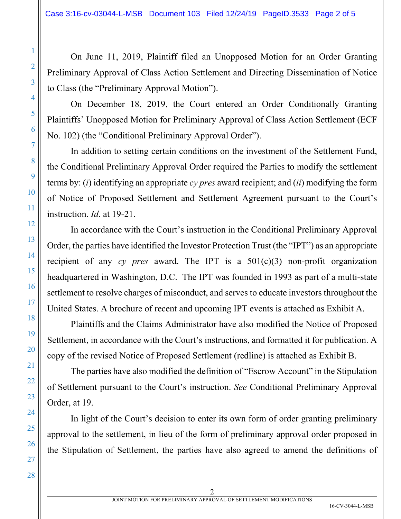On June 11, 2019, Plaintiff filed an Unopposed Motion for an Order Granting Preliminary Approval of Class Action Settlement and Directing Dissemination of Notice to Class (the "Preliminary Approval Motion").

On December 18, 2019, the Court entered an Order Conditionally Granting Plaintiffs' Unopposed Motion for Preliminary Approval of Class Action Settlement (ECF No. 102) (the "Conditional Preliminary Approval Order").

In addition to setting certain conditions on the investment of the Settlement Fund, the Conditional Preliminary Approval Order required the Parties to modify the settlement terms by: (*i*) identifying an appropriate *cy pres* award recipient; and (*ii*) modifying the form of Notice of Proposed Settlement and Settlement Agreement pursuant to the Court's instruction. *Id*. at 19-21.

In accordance with the Court's instruction in the Conditional Preliminary Approval Order, the parties have identified the Investor Protection Trust (the "IPT") as an appropriate recipient of any *cy pres* award. The IPT is a 501(c)(3) non-profit organization headquartered in Washington, D.C. The IPT was founded in 1993 as part of a multi-state settlement to resolve charges of misconduct, and serves to educate investors throughout the United States. A brochure of recent and upcoming IPT events is attached as Exhibit A.

Plaintiffs and the Claims Administrator have also modified the Notice of Proposed Settlement, in accordance with the Court's instructions, and formatted it for publication. A copy of the revised Notice of Proposed Settlement (redline) is attached as Exhibit B.

The parties have also modified the definition of "Escrow Account" in the Stipulation of Settlement pursuant to the Court's instruction. *See* Conditional Preliminary Approval Order, at 19.

In light of the Court's decision to enter its own form of order granting preliminary approval to the settlement, in lieu of the form of preliminary approval order proposed in the Stipulation of Settlement, the parties have also agreed to amend the definitions of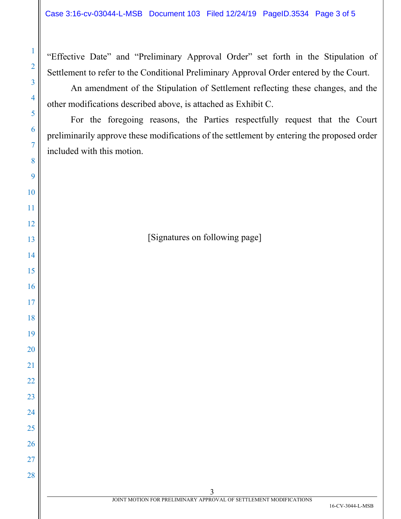"Effective Date" and "Preliminary Approval Order" set forth in the Stipulation of Settlement to refer to the Conditional Preliminary Approval Order entered by the Court.

An amendment of the Stipulation of Settlement reflecting these changes, and the other modifications described above, is attached as Exhibit C.

For the foregoing reasons, the Parties respectfully request that the Court preliminarily approve these modifications of the settlement by entering the proposed order included with this motion.

[Signatures on following page]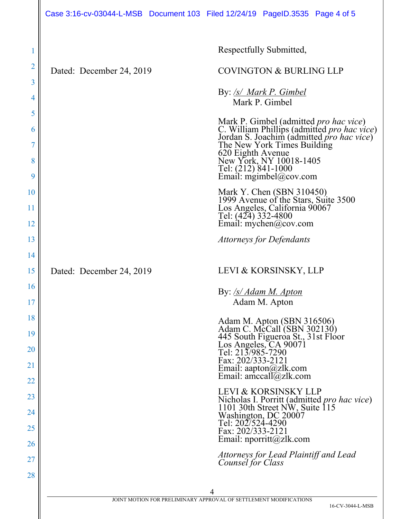|                       | Case 3:16-cv-03044-L-MSB Document 103 Filed 12/24/19 PageID.3535 Page 4 of 5 |                                                                                                                                                                                                                                                                                            |
|-----------------------|------------------------------------------------------------------------------|--------------------------------------------------------------------------------------------------------------------------------------------------------------------------------------------------------------------------------------------------------------------------------------------|
| 1<br>$\overline{2}$   | Dated: December 24, 2019                                                     | Respectfully Submitted,<br><b>COVINGTON &amp; BURLING LLP</b>                                                                                                                                                                                                                              |
| 3<br>4                |                                                                              | By: /s/ Mark P. Gimbel<br>Mark P. Gimbel                                                                                                                                                                                                                                                   |
| 5<br>6<br>7<br>8<br>9 |                                                                              | Mark P. Gimbel (admitted <i>pro hac vice</i> )<br>C. William Phillips (admitted <i>pro hac vice</i> )<br>Jordan S. Joachim (admitted <i>pro hac vice</i> )<br>The New York Times Building<br>620 Eighth Avenue<br>New York, NY 10018-1405<br>Tel: (212) 841-1000<br>Email: mgimbel@cov.com |
| 10<br>11<br>12        |                                                                              | Mark Y. Chen (SBN 310450)<br>1999 Avenue of the Stars, Suite 3500<br>Los Angeles, California 90067<br>Tel: (424) 332-4800<br>Email: $mychen@cov.com$                                                                                                                                       |
| 13                    |                                                                              | <b>Attorneys for Defendants</b>                                                                                                                                                                                                                                                            |
| 14<br>15              | Dated: December 24, 2019                                                     | LEVI & KORSINSKY, LLP                                                                                                                                                                                                                                                                      |
| 16<br>17              |                                                                              | By: /s/ Adam M. Apton<br>Adam M. Apton                                                                                                                                                                                                                                                     |
| 18<br>19<br>20<br>21  |                                                                              | Adam M. Apton (SBN 316506)<br>Adam C. McCall (SBN 302130)<br>445 South Figueroa St., 31st Floor<br>Los Angeles, CA 90071<br>Tel: 213/985-7290<br>Fax: 202/333-2121<br>Email: aapton@zlk.com<br>Email: amccall $@z$ lk.com                                                                  |
| 22<br>23<br>24<br>25  |                                                                              | LEVI & KORSINSKY LLP<br>Nicholas I. Porritt (admitted pro hac vice)<br>1101 30th Street NW, Suite 115<br>Washington, DC 20007<br>Tel: 202/524-4290<br>Fax: 202/333-2121                                                                                                                    |
| 26<br>27<br>28        |                                                                              | Email: $\text{nporritt}(@zlk.com)$<br>Attorneys for Lead Plaintiff and Lead<br>Counsel for Class                                                                                                                                                                                           |
|                       |                                                                              | 4<br>JOINT MOTION FOR PRELIMINARY APPROVAL OF SETTLEMENT MODIFICATIONS<br>16-CV-3044-L-MSB                                                                                                                                                                                                 |